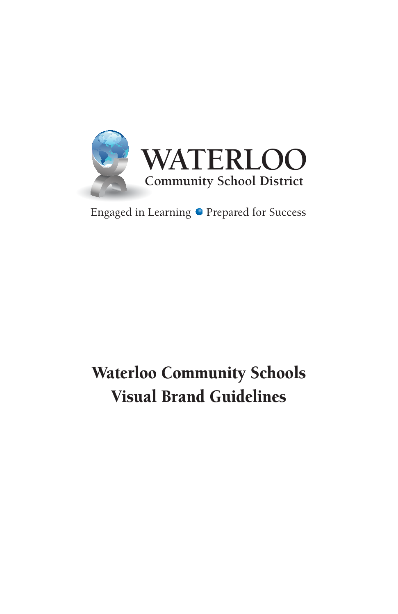

#### Engaged in Learning  $\bullet$  Prepared for Success

## Waterloo Community Schools Visual Brand Guidelines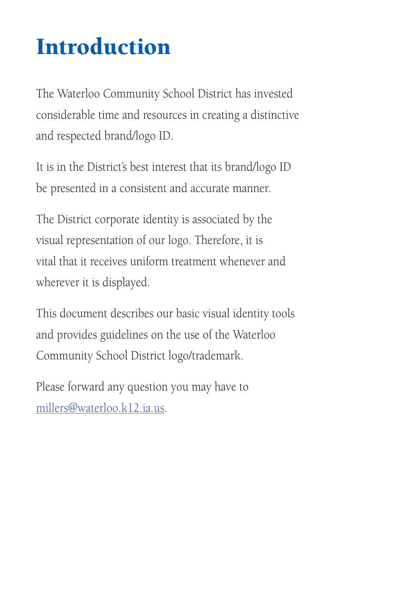# Introduction

The Waterloo Community School District has invested considerable time and resources in creating a distinctive and respected brand/logo ID.

It is in the District's best interest that its brand/logo ID be presented in a consistent and accurate manner.

The District corporate identity is associated by the visual representation of our logo. Therefore, it is vital that it receives uniform treatment whenever and wherever it is displayed.

This document describes our basic visual identity tools and provides guidelines on the use of the Waterloo Community School District logo/trademark.

Please forward any question you may have to millers@waterloo.k12.ia.us.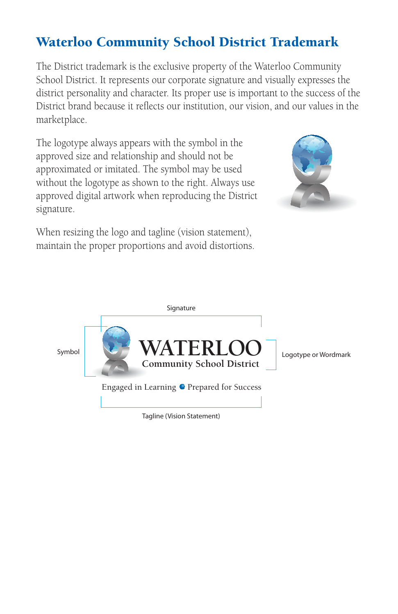#### Waterloo Community School District Trademark

The District trademark is the exclusive property of the Waterloo Community School District. It represents our corporate signature and visually expresses the district personality and character. Its proper use is important to the success of the District brand because it reflects our institution, our vision, and our values in the marketplace.

The logotype always appears with the symbol in the approved size and relationship and should not be approximated or imitated. The symbol may be used without the logotype as shown to the right. Always use approved digital artwork when reproducing the District signature.



When resizing the logo and tagline (vision statement), maintain the proper proportions and avoid distortions.

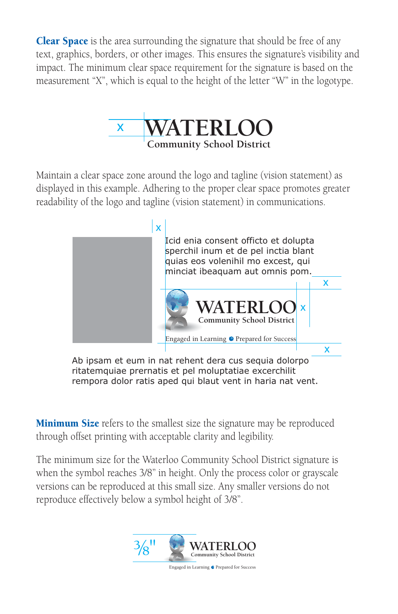**Clear Space** is the area surrounding the signature that should be free of any text, graphics, borders, or other images. This ensures the signature's visibility and impact. The minimum clear space requirement for the signature is based on the measurement "X", which is equal to the height of the letter "W" in the logotype.



Maintain a clear space zone around the logo and tagline (vision statement) as displayed in this example. Adhering to the proper clear space promotes greater readability of the logo and tagline (vision statement) in communications.



Ab ipsam et eum in nat rehent dera cus sequia dolorpo ritatemquiae prernatis et pel moluptatiae excerchilit rempora dolor ratis aped qui blaut vent in haria nat vent.

**Minimum Size** refers to the smallest size the signature may be reproduced through offset printing with acceptable clarity and legibility.

The minimum size for the Waterloo Community School District signature is when the symbol reaches 3/8" in height. Only the process color or grayscale versions can be reproduced at this small size. Any smaller versions do not reproduce effectively below a symbol height of 3/8".

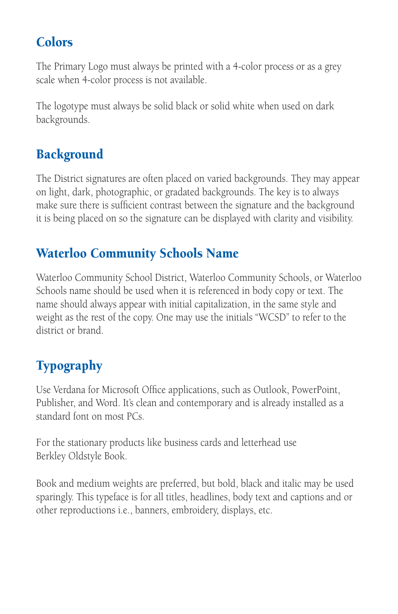#### **Colors**

The Primary Logo must always be printed with a 4-color process or as a grey scale when 4-color process is not available.

The logotype must always be solid black or solid white when used on dark backgrounds.

#### **Background**

The District signatures are often placed on varied backgrounds. They may appear on light, dark, photographic, or gradated backgrounds. The key is to always make sure there is sufficient contrast between the signature and the background it is being placed on so the signature can be displayed with clarity and visibility.

#### Waterloo Community Schools Name

Waterloo Community School District, Waterloo Community Schools, or Waterloo Schools name should be used when it is referenced in body copy or text. The name should always appear with initial capitalization, in the same style and weight as the rest of the copy. One may use the initials "WCSD" to refer to the district or brand.

### Typography

Use Verdana for Microsoft Office applications, such as Outlook, PowerPoint, Publisher, and Word. It's clean and contemporary and is already installed as a standard font on most PCs.

For the stationary products like business cards and letterhead use Berkley Oldstyle Book.

Book and medium weights are preferred, but bold, black and italic may be used sparingly. This typeface is for all titles, headlines, body text and captions and or other reproductions i.e., banners, embroidery, displays, etc.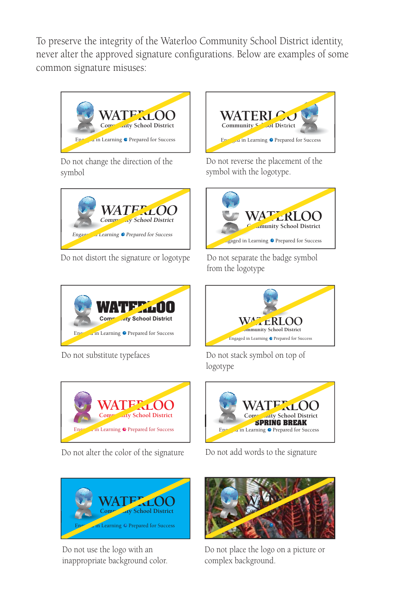To preserve the integrity of the Waterloo Community School District identity, never alter the approved signature configurations. Below are examples of some common signature misuses:



Do not change the direction of the symbol



Do not distort the signature or logotype





Do not alter the color of the signature



Do not use the logo with an inappropriate background color.



Do not reverse the placement of the symbol with the logotype.



Do not separate the badge symbol from the logotype



Do not substitute typefaces Do not stack symbol on top of logotype



Do not add words to the signature



Do not place the logo on a picture or complex background.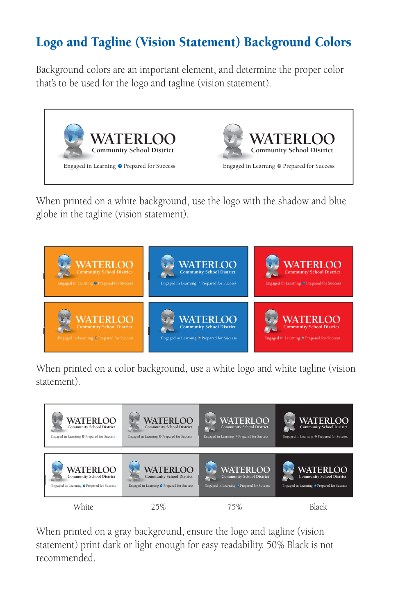#### Logo and Tagline (Vision Statement) Background Colors

Background colors are an important element, and determine the proper color that's to be used for the logo and tagline (vision statement).



When printed on a white background, use the logo with the shadow and blue globe in the tagline (vision statement).



When printed on a color background, use a white logo and white tagline (vision statement).



When printed on a gray background, ensure the logo and tagline (vision statement) print dark or light enough for easy readability. 50% Black is not recommended.